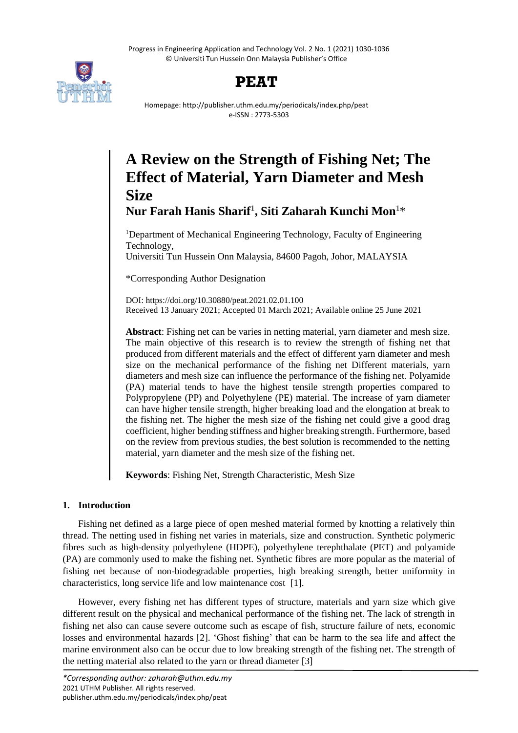Progress in Engineering Application and Technology Vol. 2 No. 1 (2021) 1030-1036 © Universiti Tun Hussein Onn Malaysia Publisher's Office



# **PEAT**

Homepage: http://publisher.uthm.edu.my/periodicals/index.php/peat e-ISSN : 2773-5303

# **A Review on the Strength of Fishing Net; The Effect of Material, Yarn Diameter and Mesh Size**

**Nur Farah Hanis Sharif**<sup>1</sup> **, Siti Zaharah Kunchi Mon**<sup>1</sup>\*

<sup>1</sup>Department of Mechanical Engineering Technology, Faculty of Engineering Technology,

Universiti Tun Hussein Onn Malaysia, 84600 Pagoh, Johor, MALAYSIA

\*Corresponding Author Designation

DOI: https://doi.org/10.30880/peat.2021.02.01.100 Received 13 January 2021; Accepted 01 March 2021; Available online 25 June 2021

**Abstract**: Fishing net can be varies in netting material, yarn diameter and mesh size. The main objective of this research is to review the strength of fishing net that produced from different materials and the effect of different yarn diameter and mesh size on the mechanical performance of the fishing net Different materials, yarn diameters and mesh size can influence the performance of the fishing net. Polyamide (PA) material tends to have the highest tensile strength properties compared to Polypropylene (PP) and Polyethylene (PE) material. The increase of yarn diameter can have higher tensile strength, higher breaking load and the elongation at break to the fishing net. The higher the mesh size of the fishing net could give a good drag coefficient, higher bending stiffness and higher breaking strength. Furthermore, based on the review from previous studies, the best solution is recommended to the netting material, yarn diameter and the mesh size of the fishing net.

**Keywords**: Fishing Net, Strength Characteristic, Mesh Size

# **1. Introduction**

Fishing net defined as a large piece of open meshed material formed by knotting a relatively thin thread. The netting used in fishing net varies in materials, size and construction. Synthetic polymeric fibres such as high-density polyethylene (HDPE), polyethylene terephthalate (PET) and polyamide (PA) are commonly used to make the fishing net. Synthetic fibres are more popular as the material of fishing net because of non-biodegradable properties, high breaking strength, better uniformity in characteristics, long service life and low maintenance cost [1].

However, every fishing net has different types of structure, materials and yarn size which give different result on the physical and mechanical performance of the fishing net. The lack of strength in fishing net also can cause severe outcome such as escape of fish, structure failure of nets, economic losses and environmental hazards [2]. 'Ghost fishing' that can be harm to the sea life and affect the marine environment also can be occur due to low breaking strength of the fishing net. The strength of the netting material also related to the yarn or thread diameter [3]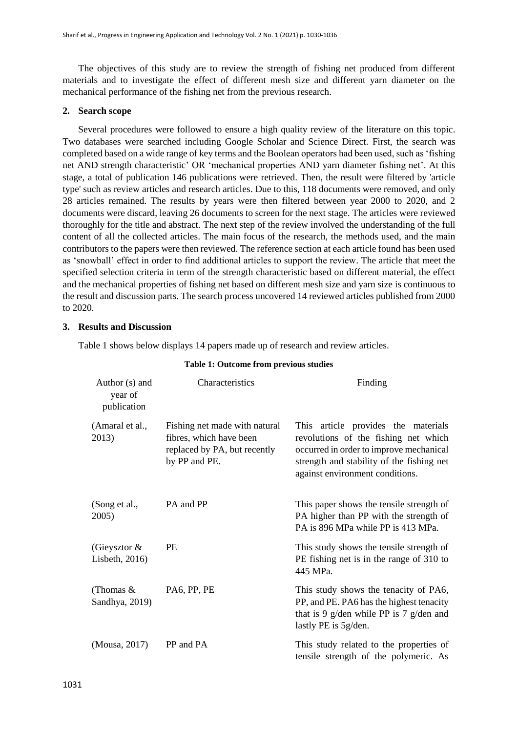The objectives of this study are to review the strength of fishing net produced from different materials and to investigate the effect of different mesh size and different yarn diameter on the mechanical performance of the fishing net from the previous research.

## **2. Search scope**

Several procedures were followed to ensure a high quality review of the literature on this topic. Two databases were searched including Google Scholar and Science Direct. First, the search was completed based on a wide range of key terms and the Boolean operators had been used, such as 'fishing net AND strength characteristic' OR 'mechanical properties AND yarn diameter fishing net'. At this stage, a total of publication 146 publications were retrieved. Then, the result were filtered by 'article type' such as review articles and research articles. Due to this, 118 documents were removed, and only 28 articles remained. The results by years were then filtered between year 2000 to 2020, and 2 documents were discard, leaving 26 documents to screen for the next stage. The articles were reviewed thoroughly for the title and abstract. The next step of the review involved the understanding of the full content of all the collected articles. The main focus of the research, the methods used, and the main contributors to the papers were then reviewed. The reference section at each article found has been used as 'snowball' effect in order to find additional articles to support the review. The article that meet the specified selection criteria in term of the strength characteristic based on different material, the effect and the mechanical properties of fishing net based on different mesh size and yarn size is continuous to the result and discussion parts. The search process uncovered 14 reviewed articles published from 2000 to 2020.

### **3. Results and Discussion**

Table 1 shows below displays 14 papers made up of research and review articles.

| Author (s) and<br>year of<br>publication | Characteristics                                                                                           | Finding                                                                                                                                                                                                |
|------------------------------------------|-----------------------------------------------------------------------------------------------------------|--------------------------------------------------------------------------------------------------------------------------------------------------------------------------------------------------------|
| (Amaral et al.,<br>2013)                 | Fishing net made with natural<br>fibres, which have been<br>replaced by PA, but recently<br>by PP and PE. | This article provides the materials<br>revolutions of the fishing net which<br>occurred in order to improve mechanical<br>strength and stability of the fishing net<br>against environment conditions. |
| (Song et al.,<br>2005)                   | PA and PP                                                                                                 | This paper shows the tensile strength of<br>PA higher than PP with the strength of<br>PA is 896 MPa while PP is 413 MPa.                                                                               |
| (Gieysztor $\&$<br>Lisbeth, 2016)        | <b>PE</b>                                                                                                 | This study shows the tensile strength of<br>PE fishing net is in the range of 310 to<br>445 MPa.                                                                                                       |
| (Thomas $&$<br>Sandhya, 2019)            | PA6, PP, PE                                                                                               | This study shows the tenacity of PA6,<br>PP, and PE. PA6 has the highest tenacity<br>that is 9 g/den while PP is 7 g/den and<br>lastly PE is 5g/den.                                                   |
| (Mousa, 2017)                            | PP and PA                                                                                                 | This study related to the properties of<br>tensile strength of the polymeric. As                                                                                                                       |

#### **Table 1: Outcome from previous studies**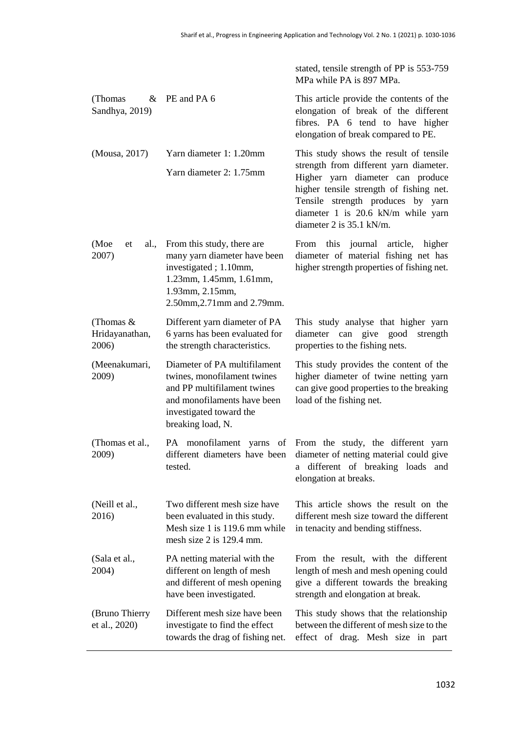|                                        |                                                                                                                                                                           | stated, tensile strength of PP is 553-759<br>MPa while PA is 897 MPa.                                                                                                                                                                                                  |  |
|----------------------------------------|---------------------------------------------------------------------------------------------------------------------------------------------------------------------------|------------------------------------------------------------------------------------------------------------------------------------------------------------------------------------------------------------------------------------------------------------------------|--|
| (Thomas)<br>Sandhya, 2019)             | $&$ PE and PA 6                                                                                                                                                           | This article provide the contents of the<br>elongation of break of the different<br>fibres. PA 6 tend to have higher<br>elongation of break compared to PE.                                                                                                            |  |
| (Mousa, 2017)                          | Yarn diameter 1: 1.20mm<br>Yarn diameter 2: 1.75mm                                                                                                                        | This study shows the result of tensile<br>strength from different yarn diameter.<br>Higher yarn diameter can produce<br>higher tensile strength of fishing net.<br>Tensile strength produces by yarn<br>diameter 1 is 20.6 kN/m while yarn<br>diameter 2 is 35.1 kN/m. |  |
| (Moe<br>al.,<br>et<br>2007)            | From this study, there are<br>many yarn diameter have been<br>investigated; 1.10mm,<br>1.23mm, 1.45mm, 1.61mm,<br>1.93mm, 2.15mm,<br>2.50mm, 2.71mm and 2.79mm.           | this journal<br>article, higher<br>From<br>diameter of material fishing net has<br>higher strength properties of fishing net.                                                                                                                                          |  |
| (Thomas $&$<br>Hridayanathan,<br>2006) | Different yarn diameter of PA<br>6 yarns has been evaluated for<br>the strength characteristics.                                                                          | This study analyse that higher yarn<br>diameter can give good<br>strength<br>properties to the fishing nets.                                                                                                                                                           |  |
| (Meenakumari,<br>2009)                 | Diameter of PA multifilament<br>twines, monofilament twines<br>and PP multifilament twines<br>and monofilaments have been<br>investigated toward the<br>breaking load, N. | This study provides the content of the<br>higher diameter of twine netting yarn<br>can give good properties to the breaking<br>load of the fishing net.                                                                                                                |  |
| (Thomas et al.,<br>2009)               | different diameters have been<br>tested.                                                                                                                                  | PA monofilament yarns of From the study, the different yarn<br>diameter of netting material could give<br>different of breaking loads and<br>a<br>elongation at breaks.                                                                                                |  |
| (Neill et al.,<br>2016)                | Two different mesh size have<br>been evaluated in this study.<br>Mesh size 1 is 119.6 mm while<br>mesh size 2 is 129.4 mm.                                                | This article shows the result on the<br>different mesh size toward the different<br>in tenacity and bending stiffness.                                                                                                                                                 |  |
| (Sala et al.,<br>2004)                 | PA netting material with the<br>different on length of mesh<br>and different of mesh opening<br>have been investigated.                                                   | From the result, with the different<br>length of mesh and mesh opening could<br>give a different towards the breaking<br>strength and elongation at break.                                                                                                             |  |
| (Bruno Thierry<br>et al., 2020)        | Different mesh size have been<br>investigate to find the effect<br>towards the drag of fishing net.                                                                       | This study shows that the relationship<br>between the different of mesh size to the<br>effect of drag. Mesh size in part                                                                                                                                               |  |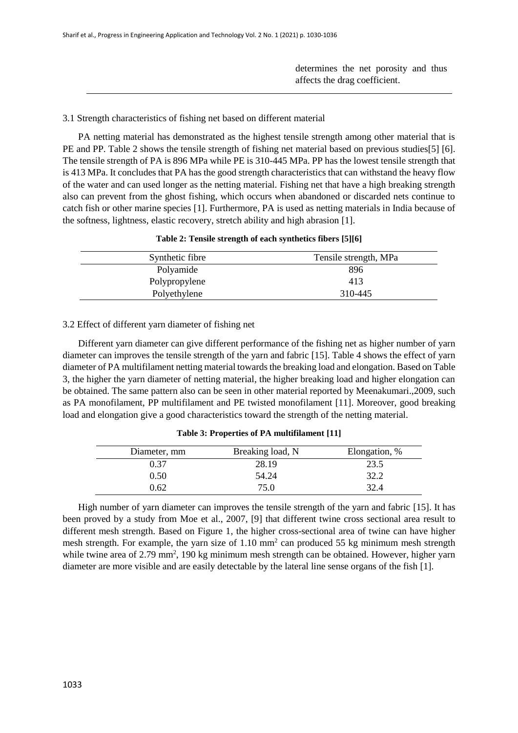determines the net porosity and thus affects the drag coefficient.

### 3.1 Strength characteristics of fishing net based on different material

PA netting material has demonstrated as the highest tensile strength among other material that is PE and PP. Table 2 shows the tensile strength of fishing net material based on previous studies[5] [6]. The tensile strength of PA is 896 MPa while PE is 310-445 MPa. PP has the lowest tensile strength that is 413 MPa. It concludes that PA has the good strength characteristics that can withstand the heavy flow of the water and can used longer as the netting material. Fishing net that have a high breaking strength also can prevent from the ghost fishing, which occurs when abandoned or discarded nets continue to catch fish or other marine species [1]. Furthermore, PA is used as netting materials in India because of the softness, lightness, elastic recovery, stretch ability and high abrasion [1].

| Table 2: Tensile strength of each synthetics fibers [5][6] |  |  |  |  |
|------------------------------------------------------------|--|--|--|--|
|------------------------------------------------------------|--|--|--|--|

| Synthetic fibre | Tensile strength, MPa |
|-----------------|-----------------------|
| Polyamide       | 896                   |
| Polypropylene   | 413                   |
| Polyethylene    | 310-445               |

#### 3.2 Effect of different yarn diameter of fishing net

Different yarn diameter can give different performance of the fishing net as higher number of yarn diameter can improves the tensile strength of the yarn and fabric [15]. Table 4 shows the effect of yarn diameter of PA multifilament netting material towards the breaking load and elongation. Based on Table 3, the higher the yarn diameter of netting material, the higher breaking load and higher elongation can be obtained. The same pattern also can be seen in other material reported by Meenakumari.,2009, such as PA monofilament, PP multifilament and PE twisted monofilament [11]. Moreover, good breaking load and elongation give a good characteristics toward the strength of the netting material.

| Diameter, mm | Breaking load, N | Elongation, % |
|--------------|------------------|---------------|
| 0.37         | 28.19            | 23.5          |
| 0.50         | 54.24            | 32.2          |
| 0.62         | 75.0             | 32.4          |

**Table 3: Properties of PA multifilament [11]**

High number of yarn diameter can improves the tensile strength of the yarn and fabric [15]. It has been proved by a study from Moe et al., 2007, [9] that different twine cross sectional area result to different mesh strength. Based on Figure 1, the higher cross-sectional area of twine can have higher mesh strength. For example, the yarn size of 1.10 mm<sup>2</sup> can produced 55 kg minimum mesh strength while twine area of 2.79 mm<sup>2</sup>, 190 kg minimum mesh strength can be obtained. However, higher yarn diameter are more visible and are easily detectable by the lateral line sense organs of the fish [1].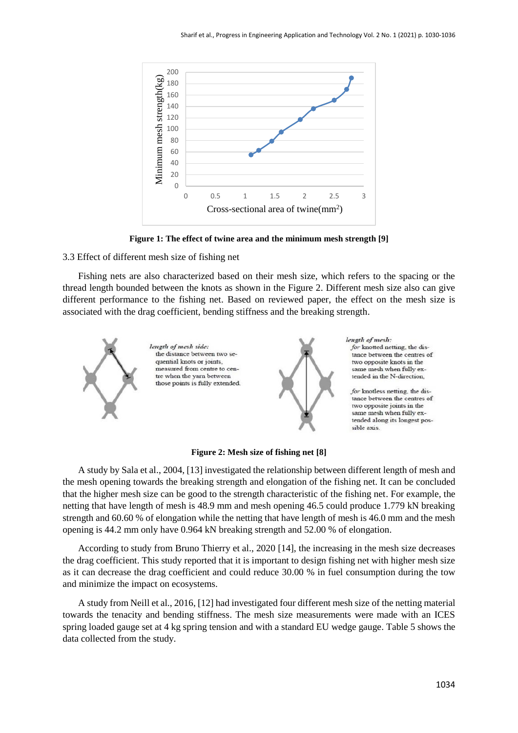

**Figure 1: The effect of twine area and the minimum mesh strength [9]**

#### 3.3 Effect of different mesh size of fishing net

Fishing nets are also characterized based on their mesh size, which refers to the spacing or the thread length bounded between the knots as shown in the Figure 2. Different mesh size also can give different performance to the fishing net. Based on reviewed paper, the effect on the mesh size is associated with the drag coefficient, bending stiffness and the breaking strength.



**Figure 2: Mesh size of fishing net [8]**

A study by Sala et al., 2004, [13] investigated the relationship between different length of mesh and the mesh opening towards the breaking strength and elongation of the fishing net. It can be concluded that the higher mesh size can be good to the strength characteristic of the fishing net. For example, the netting that have length of mesh is 48.9 mm and mesh opening 46.5 could produce 1.779 kN breaking strength and 60.60 % of elongation while the netting that have length of mesh is 46.0 mm and the mesh opening is 44.2 mm only have 0.964 kN breaking strength and 52.00 % of elongation.

According to study from Bruno Thierry et al., 2020 [14], the increasing in the mesh size decreases the drag coefficient. This study reported that it is important to design fishing net with higher mesh size as it can decrease the drag coefficient and could reduce 30.00 % in fuel consumption during the tow and minimize the impact on ecosystems.

A study from Neill et al., 2016, [12] had investigated four different mesh size of the netting material towards the tenacity and bending stiffness. The mesh size measurements were made with an ICES spring loaded gauge set at 4 kg spring tension and with a standard EU wedge gauge. Table 5 shows the data collected from the study.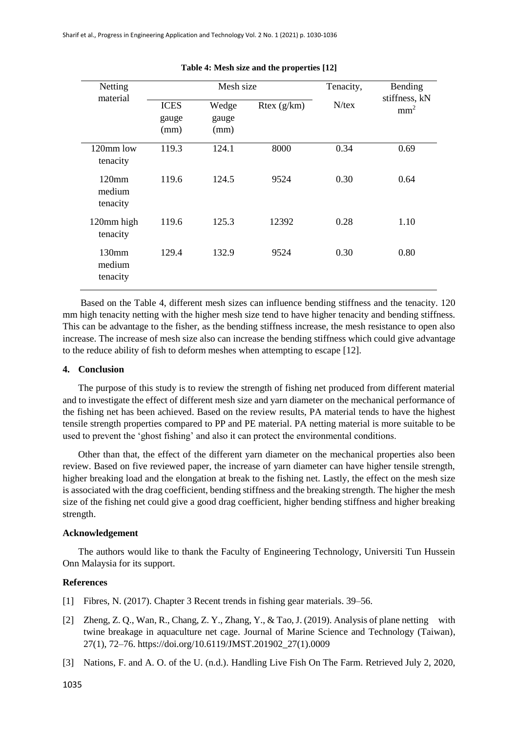| Netting<br>material                     |                              | Mesh size              |             | Tenacity, | Bending                          |
|-----------------------------------------|------------------------------|------------------------|-------------|-----------|----------------------------------|
|                                         | <b>ICES</b><br>gauge<br>(mm) | Wedge<br>gauge<br>(mm) | Rtex (g/km) | $N$ /tex  | stiffness, kN<br>mm <sup>2</sup> |
| 120mm low<br>tenacity                   | 119.3                        | 124.1                  | 8000        | 0.34      | 0.69                             |
| 120mm<br>medium<br>tenacity             | 119.6                        | 124.5                  | 9524        | 0.30      | 0.64                             |
| 120mm high<br>tenacity                  | 119.6                        | 125.3                  | 12392       | 0.28      | 1.10                             |
| 130 <sub>mm</sub><br>medium<br>tenacity | 129.4                        | 132.9                  | 9524        | 0.30      | 0.80                             |

**Table 4: Mesh size and the properties [12]**

Based on the Table 4, different mesh sizes can influence bending stiffness and the tenacity. 120 mm high tenacity netting with the higher mesh size tend to have higher tenacity and bending stiffness. This can be advantage to the fisher, as the bending stiffness increase, the mesh resistance to open also increase. The increase of mesh size also can increase the bending stiffness which could give advantage to the reduce ability of fish to deform meshes when attempting to escape [12].

#### **4. Conclusion**

The purpose of this study is to review the strength of fishing net produced from different material and to investigate the effect of different mesh size and yarn diameter on the mechanical performance of the fishing net has been achieved. Based on the review results, PA material tends to have the highest tensile strength properties compared to PP and PE material. PA netting material is more suitable to be used to prevent the 'ghost fishing' and also it can protect the environmental conditions.

Other than that, the effect of the different yarn diameter on the mechanical properties also been review. Based on five reviewed paper, the increase of yarn diameter can have higher tensile strength, higher breaking load and the elongation at break to the fishing net. Lastly, the effect on the mesh size is associated with the drag coefficient, bending stiffness and the breaking strength. The higher the mesh size of the fishing net could give a good drag coefficient, higher bending stiffness and higher breaking strength.

#### **Acknowledgement**

The authors would like to thank the Faculty of Engineering Technology, Universiti Tun Hussein Onn Malaysia for its support.

### **References**

- [1] Fibres, N. (2017). Chapter 3 Recent trends in fishing gear materials. 39–56.
- [2] Zheng, Z. Q., Wan, R., Chang, Z. Y., Zhang, Y., & Tao, J. (2019). Analysis of plane netting with twine breakage in aquaculture net cage. Journal of Marine Science and Technology (Taiwan), 27(1), 72–76. https://doi.org/10.6119/JMST.201902\_27(1).0009
- [3] Nations, F. and A. O. of the U. (n.d.). Handling Live Fish On The Farm. Retrieved July 2, 2020,